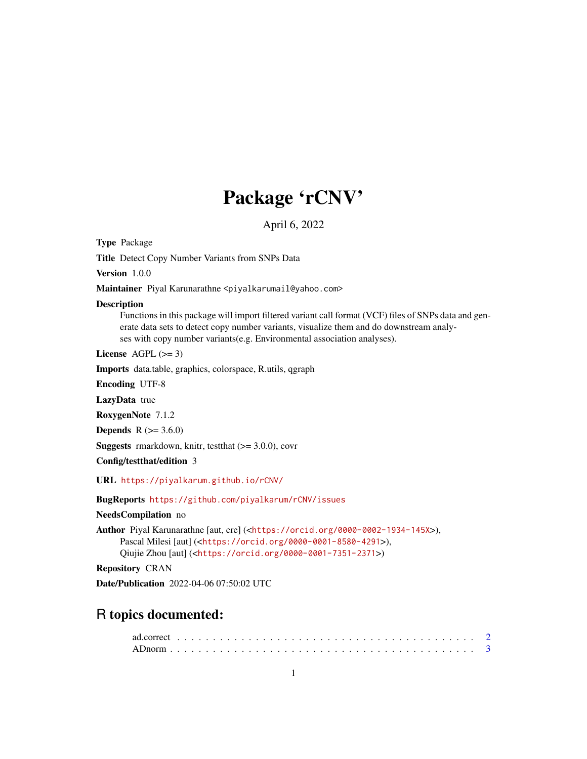# Package 'rCNV'

April 6, 2022

Type Package

Title Detect Copy Number Variants from SNPs Data

Version 1.0.0

Maintainer Piyal Karunarathne <piyalkarumail@yahoo.com>

#### **Description**

Functions in this package will import filtered variant call format (VCF) files of SNPs data and generate data sets to detect copy number variants, visualize them and do downstream analyses with copy number variants(e.g. Environmental association analyses).

License  $AGPL (> = 3)$ 

Imports data.table, graphics, colorspace, R.utils, qgraph

Encoding UTF-8

LazyData true

RoxygenNote 7.1.2

**Depends**  $R$  ( $> = 3.6.0$ )

**Suggests** rmarkdown, knitr, test that  $(>= 3.0.0)$ , covr

Config/testthat/edition 3

URL <https://piyalkarum.github.io/rCNV/>

BugReports <https://github.com/piyalkarum/rCNV/issues>

NeedsCompilation no

Author Piyal Karunarathne [aut, cre] (<<https://orcid.org/0000-0002-1934-145X>>), Pascal Milesi [aut] (<<https://orcid.org/0000-0001-8580-4291>>), Qiujie Zhou [aut] (<<https://orcid.org/0000-0001-7351-2371>>)

Repository CRAN

Date/Publication 2022-04-06 07:50:02 UTC

# R topics documented: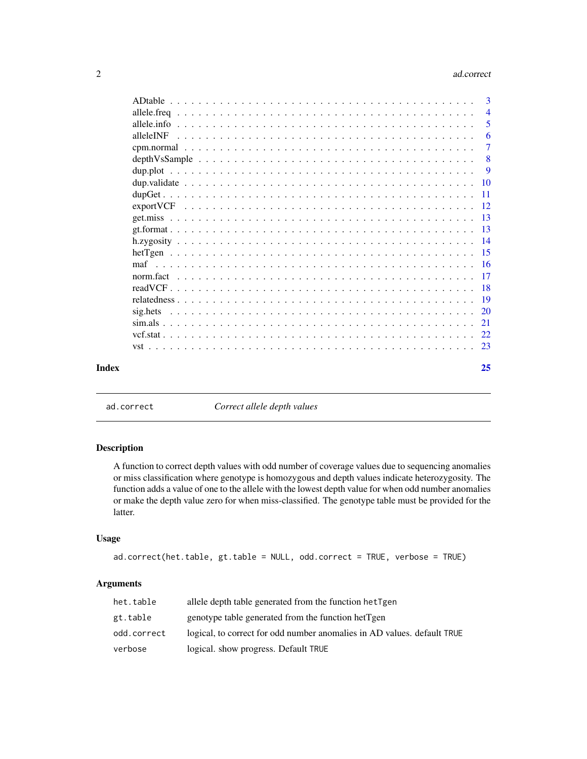#### <span id="page-1-0"></span>2 ad.correct 2

|           | $\mathcal{R}$  |
|-----------|----------------|
|           | $\overline{4}$ |
|           | 5              |
| alleleINF | 6              |
|           | $\overline{7}$ |
|           | -8             |
|           | 9              |
|           |                |
|           |                |
|           |                |
|           |                |
|           |                |
|           |                |
|           |                |
|           |                |
|           |                |
|           |                |
|           |                |
|           |                |
|           |                |
|           |                |
|           |                |
|           |                |
| Index     | 25             |

ad.correct *Correct allele depth values*

#### Description

A function to correct depth values with odd number of coverage values due to sequencing anomalies or miss classification where genotype is homozygous and depth values indicate heterozygosity. The function adds a value of one to the allele with the lowest depth value for when odd number anomalies or make the depth value zero for when miss-classified. The genotype table must be provided for the latter.

# Usage

```
ad.correct(het.table, gt.table = NULL, odd.correct = TRUE, verbose = TRUE)
```
# Arguments

| het.table   | allele depth table generated from the function het Tgen                 |
|-------------|-------------------------------------------------------------------------|
| gt.table    | genotype table generated from the function hetTgen                      |
| odd.correct | logical, to correct for odd number anomalies in AD values, default TRUE |
| verbose     | logical. show progress. Default TRUE                                    |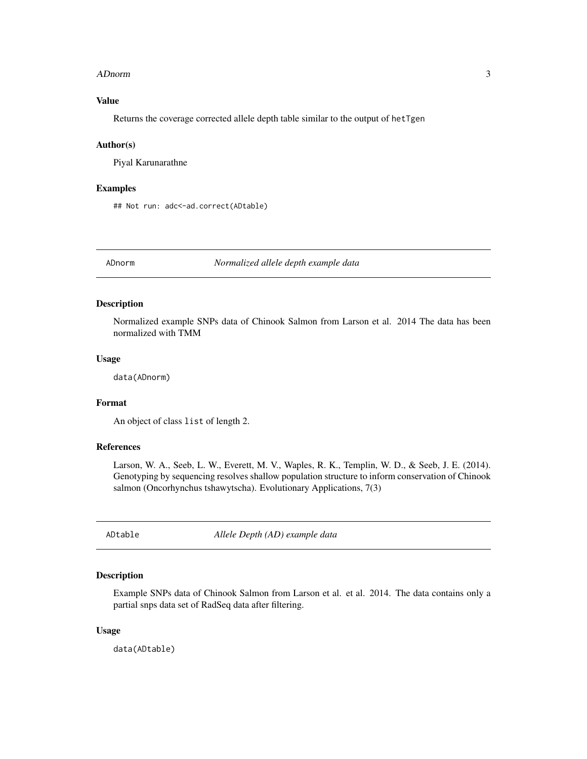#### <span id="page-2-0"></span>ADnorm 3

# Value

Returns the coverage corrected allele depth table similar to the output of hetTgen

#### Author(s)

Piyal Karunarathne

## Examples

## Not run: adc<-ad.correct(ADtable)

ADnorm *Normalized allele depth example data*

#### Description

Normalized example SNPs data of Chinook Salmon from Larson et al. 2014 The data has been normalized with TMM

#### Usage

data(ADnorm)

# Format

An object of class list of length 2.

#### References

Larson, W. A., Seeb, L. W., Everett, M. V., Waples, R. K., Templin, W. D., & Seeb, J. E. (2014). Genotyping by sequencing resolves shallow population structure to inform conservation of Chinook salmon (Oncorhynchus tshawytscha). Evolutionary Applications, 7(3)

ADtable *Allele Depth (AD) example data*

# Description

Example SNPs data of Chinook Salmon from Larson et al. et al. 2014. The data contains only a partial snps data set of RadSeq data after filtering.

#### Usage

data(ADtable)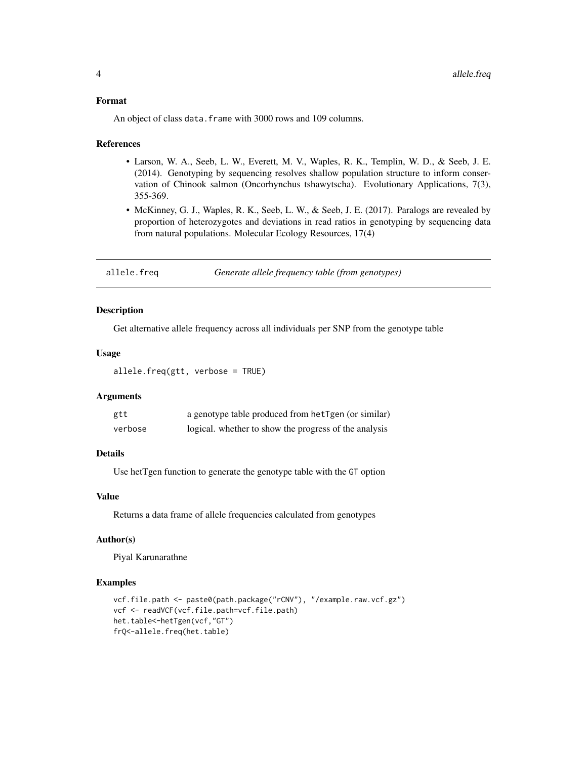#### <span id="page-3-0"></span>Format

An object of class data. frame with 3000 rows and 109 columns.

#### References

- Larson, W. A., Seeb, L. W., Everett, M. V., Waples, R. K., Templin, W. D., & Seeb, J. E. (2014). Genotyping by sequencing resolves shallow population structure to inform conservation of Chinook salmon (Oncorhynchus tshawytscha). Evolutionary Applications, 7(3), 355-369.
- McKinney, G. J., Waples, R. K., Seeb, L. W., & Seeb, J. E. (2017). Paralogs are revealed by proportion of heterozygotes and deviations in read ratios in genotyping by sequencing data from natural populations. Molecular Ecology Resources, 17(4)

| allele.freq |                                                  |
|-------------|--------------------------------------------------|
|             | Generate allele frequency table (from genotypes) |

# Description

Get alternative allele frequency across all individuals per SNP from the genotype table

# Usage

```
allele.freq(gtt, verbose = TRUE)
```
# Arguments

| gtt     | a genotype table produced from hetTgen (or similar)   |
|---------|-------------------------------------------------------|
| verbose | logical. whether to show the progress of the analysis |

# Details

Use hetTgen function to generate the genotype table with the GT option

# Value

Returns a data frame of allele frequencies calculated from genotypes

#### Author(s)

Piyal Karunarathne

```
vcf.file.path <- paste0(path.package("rCNV"), "/example.raw.vcf.gz")
vcf <- readVCF(vcf.file.path=vcf.file.path)
het.table<-hetTgen(vcf,"GT")
frQ<-allele.freq(het.table)
```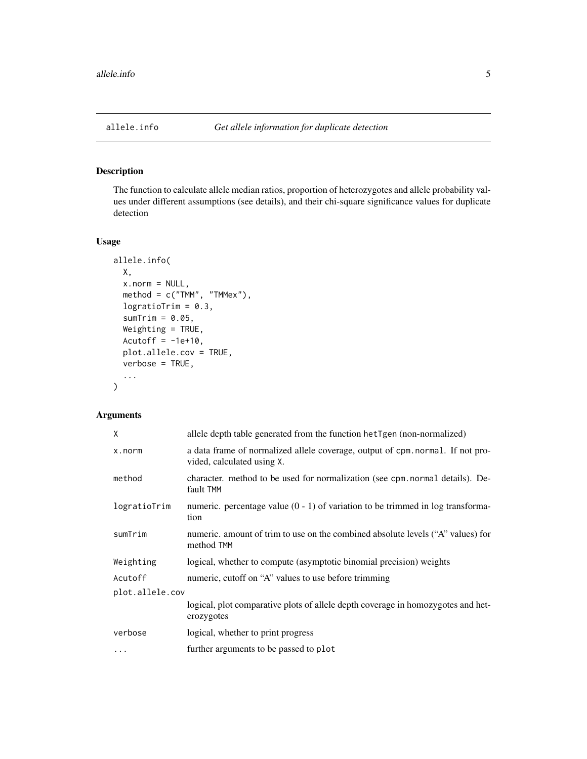<span id="page-4-0"></span>

The function to calculate allele median ratios, proportion of heterozygotes and allele probability values under different assumptions (see details), and their chi-square significance values for duplicate detection

# Usage

```
allele.info(
 X,
  x.norm = NULL,
 method = c("TMM", "TMMex"),
  logratioTrim = 0.3,
  sumTrim = 0.05,
 Weighting = TRUE,
  Acutoff = -1e+10,
 plot.allele.cov = TRUE,
  verbose = TRUE,
  ...
)
```
# Arguments

| X               | allele depth table generated from the function het Tgen (non-normalized)                                     |
|-----------------|--------------------------------------------------------------------------------------------------------------|
| x.norm          | a data frame of normalized allele coverage, output of cpm. normal. If not pro-<br>vided, calculated using X. |
| method          | character. method to be used for normalization (see cpm. normal details). De-<br>fault TMM                   |
| logratioTrim    | numeric. percentage value $(0 - 1)$ of variation to be trimmed in log transforma-<br>tion                    |
| sumTrim         | numeric. amount of trim to use on the combined absolute levels ("A" values) for<br>method TMM                |
| Weighting       | logical, whether to compute (asymptotic binomial precision) weights                                          |
| Acutoff         | numeric, cutoff on "A" values to use before trimming                                                         |
| plot.allele.cov |                                                                                                              |
|                 | logical, plot comparative plots of allele depth coverage in homozygotes and het-<br>erozygotes               |
| verbose         | logical, whether to print progress                                                                           |
| $\cdots$        | further arguments to be passed to plot                                                                       |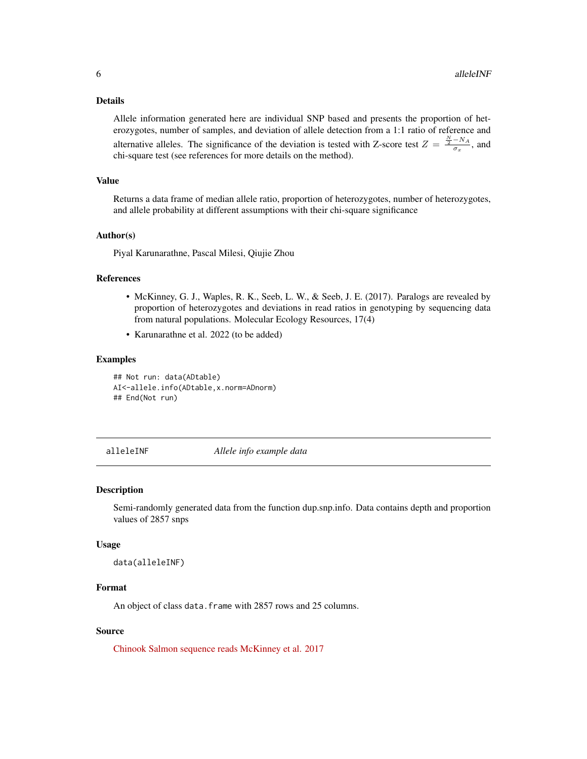#### <span id="page-5-0"></span>Details

Allele information generated here are individual SNP based and presents the proportion of heterozygotes, number of samples, and deviation of allele detection from a 1:1 ratio of reference and alternative alleles. The significance of the deviation is tested with Z-score test  $Z = \frac{\frac{N}{2} - NA}{\sigma_x}$ , and chi-square test (see references for more details on the method).

#### Value

Returns a data frame of median allele ratio, proportion of heterozygotes, number of heterozygotes, and allele probability at different assumptions with their chi-square significance

#### Author(s)

Piyal Karunarathne, Pascal Milesi, Qiujie Zhou

# References

- McKinney, G. J., Waples, R. K., Seeb, L. W., & Seeb, J. E. (2017). Paralogs are revealed by proportion of heterozygotes and deviations in read ratios in genotyping by sequencing data from natural populations. Molecular Ecology Resources, 17(4)
- Karunarathne et al. 2022 (to be added)

#### Examples

```
## Not run: data(ADtable)
AI<-allele.info(ADtable,x.norm=ADnorm)
## End(Not run)
```
alleleINF *Allele info example data*

#### **Description**

Semi-randomly generated data from the function dup.snp.info. Data contains depth and proportion values of 2857 snps

#### Usage

data(alleleINF)

#### Format

An object of class data. frame with 2857 rows and 25 columns.

### Source

[Chinook Salmon sequence reads McKinney et al. 2017](https://zenodo.org/record/5025423#.Yj2XKRDMLyQ)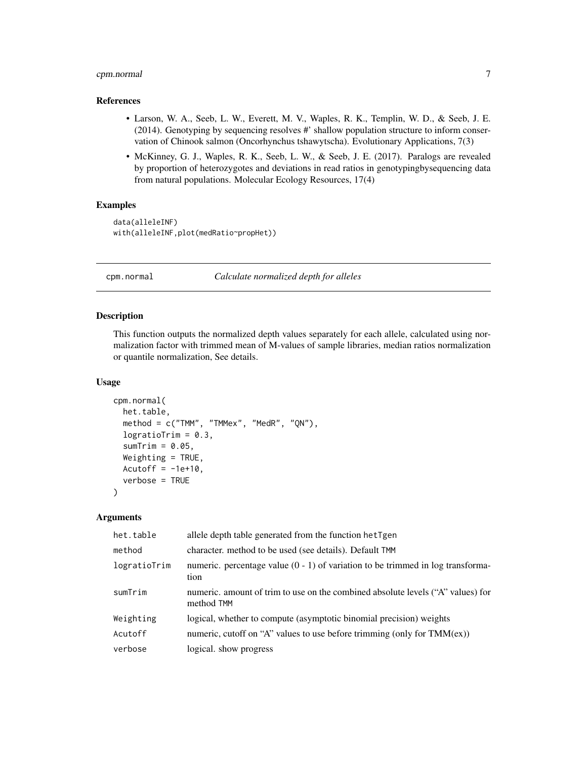# <span id="page-6-0"></span>cpm.normal 7

# References

- Larson, W. A., Seeb, L. W., Everett, M. V., Waples, R. K., Templin, W. D., & Seeb, J. E. (2014). Genotyping by sequencing resolves #' shallow population structure to inform conservation of Chinook salmon (Oncorhynchus tshawytscha). Evolutionary Applications, 7(3)
- McKinney, G. J., Waples, R. K., Seeb, L. W., & Seeb, J. E. (2017). Paralogs are revealed by proportion of heterozygotes and deviations in read ratios in genotypingbysequencing data from natural populations. Molecular Ecology Resources, 17(4)

# Examples

```
data(alleleINF)
with(alleleINF,plot(medRatio~propHet))
```
cpm.normal *Calculate normalized depth for alleles*

# **Description**

This function outputs the normalized depth values separately for each allele, calculated using normalization factor with trimmed mean of M-values of sample libraries, median ratios normalization or quantile normalization, See details.

#### Usage

```
cpm.normal(
 het.table,
 method = c("TMM", "TMMex", "MedR", "QN"),
  logratioTrim = 0.3,
  sumTime = 0.05,
 Weighting = TRUE,
 Acutoff = -1e+10,
  verbose = TRUE
)
```
# Arguments

| het.table    | allele depth table generated from the function het Tgen                                       |
|--------------|-----------------------------------------------------------------------------------------------|
| method       | character. method to be used (see details). Default TMM                                       |
| logratioTrim | numeric. percentage value $(0 - 1)$ of variation to be trimmed in log transforma-<br>tion     |
| sumTrim      | numeric, amount of trim to use on the combined absolute levels ("A" values) for<br>method TMM |
| Weighting    | logical, whether to compute (asymptotic binomial precision) weights                           |
| Acutoff      | numeric, cutoff on "A" values to use before trimming (only for $TMM(ex)$ )                    |
| verbose      | logical. show progress                                                                        |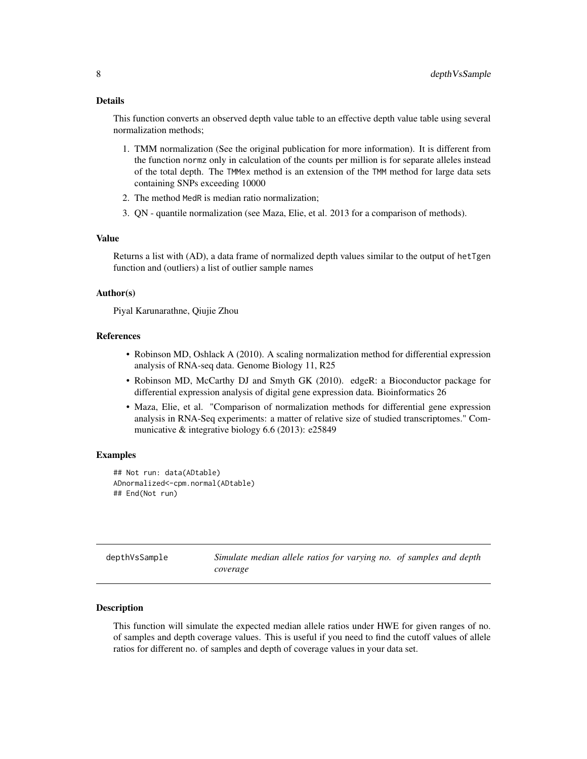#### <span id="page-7-0"></span>Details

This function converts an observed depth value table to an effective depth value table using several normalization methods;

- 1. TMM normalization (See the original publication for more information). It is different from the function normz only in calculation of the counts per million is for separate alleles instead of the total depth. The TMMex method is an extension of the TMM method for large data sets containing SNPs exceeding 10000
- 2. The method MedR is median ratio normalization;
- 3. QN quantile normalization (see Maza, Elie, et al. 2013 for a comparison of methods).

#### Value

Returns a list with (AD), a data frame of normalized depth values similar to the output of hetTgen function and (outliers) a list of outlier sample names

#### Author(s)

Piyal Karunarathne, Qiujie Zhou

#### References

- Robinson MD, Oshlack A (2010). A scaling normalization method for differential expression analysis of RNA-seq data. Genome Biology 11, R25
- Robinson MD, McCarthy DJ and Smyth GK (2010). edgeR: a Bioconductor package for differential expression analysis of digital gene expression data. Bioinformatics 26
- Maza, Elie, et al. "Comparison of normalization methods for differential gene expression analysis in RNA-Seq experiments: a matter of relative size of studied transcriptomes." Communicative & integrative biology 6.6 (2013): e25849

#### Examples

```
## Not run: data(ADtable)
ADnormalized<-cpm.normal(ADtable)
## End(Not run)
```

| depthVsSample | Simulate median allele ratios for varying no. of samples and depth |
|---------------|--------------------------------------------------------------------|
|               | coverage                                                           |

# **Description**

This function will simulate the expected median allele ratios under HWE for given ranges of no. of samples and depth coverage values. This is useful if you need to find the cutoff values of allele ratios for different no. of samples and depth of coverage values in your data set.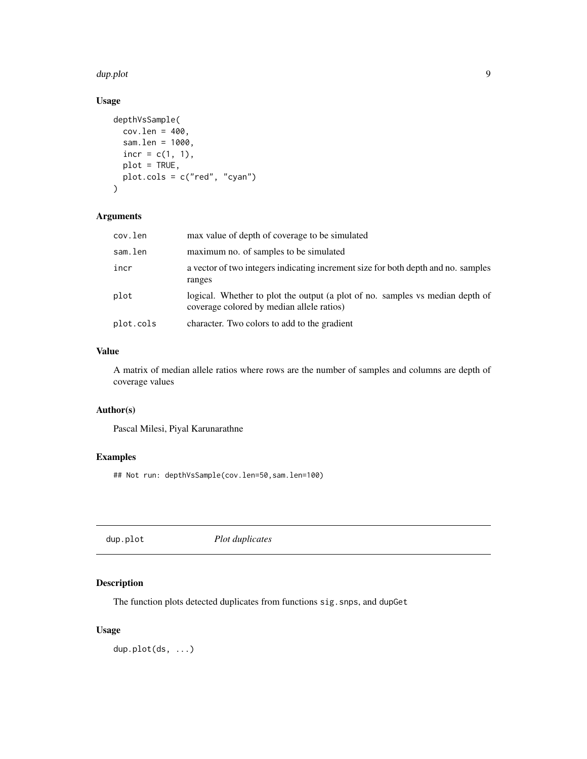#### <span id="page-8-0"></span>dup.plot 90 and 200 and 200 and 200 and 200 and 200 and 200 and 200 and 200 and 200 and 200 and 200 and 200 and 200 and 200 and 200 and 200 and 200 and 200 and 200 and 200 and 200 and 200 and 200 and 200 and 200 and 200 an

# Usage

```
depthVsSample(
 cov.length = 400,sam.len = 1000,
  incr = c(1, 1),plot = TRUE,
 plot.cols = c("red", "cyan")
)
```
# Arguments

| cov.len   | max value of depth of coverage to be simulated                                                                             |
|-----------|----------------------------------------------------------------------------------------------------------------------------|
| sam.len   | maximum no. of samples to be simulated                                                                                     |
| incr      | a vector of two integers indicating increment size for both depth and no. samples<br>ranges                                |
| plot      | logical. Whether to plot the output (a plot of no. samples vs median depth of<br>coverage colored by median allele ratios) |
| plot.cols | character. Two colors to add to the gradient                                                                               |

# Value

A matrix of median allele ratios where rows are the number of samples and columns are depth of coverage values

# Author(s)

Pascal Milesi, Piyal Karunarathne

# Examples

## Not run: depthVsSample(cov.len=50,sam.len=100)

dup.plot *Plot duplicates*

# Description

The function plots detected duplicates from functions sig.snps, and dupGet

# Usage

dup.plot(ds, ...)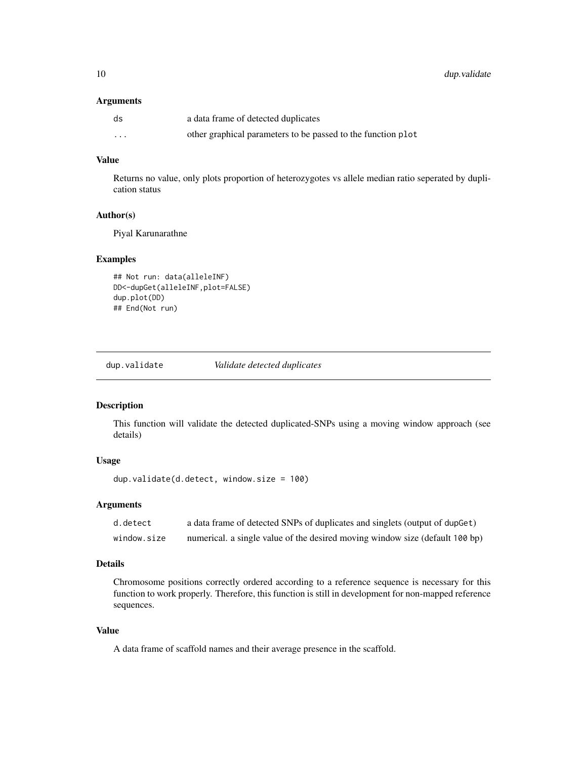#### <span id="page-9-0"></span>Arguments

| ds       | a data frame of detected duplicates                          |
|----------|--------------------------------------------------------------|
| $\cdots$ | other graphical parameters to be passed to the function plot |

# Value

Returns no value, only plots proportion of heterozygotes vs allele median ratio seperated by duplication status

# Author(s)

Piyal Karunarathne

# Examples

```
## Not run: data(alleleINF)
DD<-dupGet(alleleINF,plot=FALSE)
dup.plot(DD)
## End(Not run)
```
dup.validate *Validate detected duplicates*

# Description

This function will validate the detected duplicated-SNPs using a moving window approach (see details)

# Usage

```
dup.validate(d.detect, window.size = 100)
```
# Arguments

| d.detect    | a data frame of detected SNPs of duplicates and singlets (output of dupGet)  |
|-------------|------------------------------------------------------------------------------|
| window.size | numerical. a single value of the desired moving window size (default 100 bp) |

# Details

Chromosome positions correctly ordered according to a reference sequence is necessary for this function to work properly. Therefore, this function is still in development for non-mapped reference sequences.

# Value

A data frame of scaffold names and their average presence in the scaffold.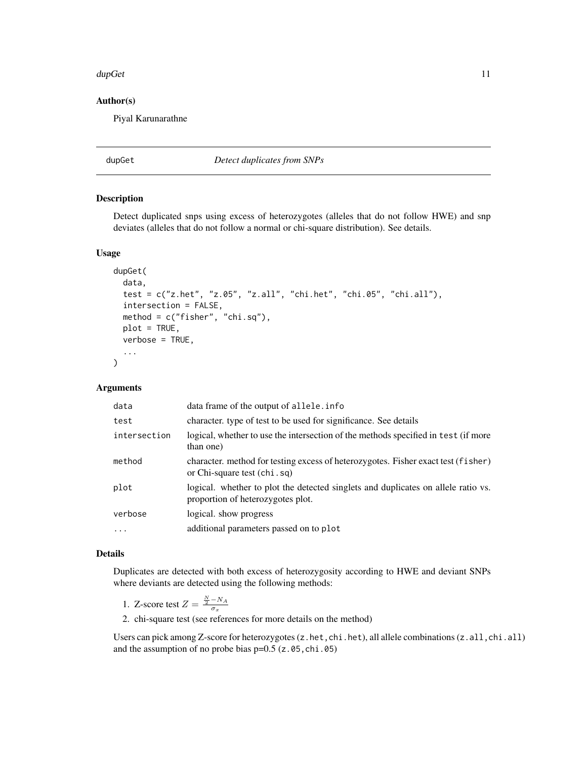#### <span id="page-10-0"></span> $d$ up $G$ et  $11$

#### Author(s)

Piyal Karunarathne

dupGet *Detect duplicates from SNPs*

### Description

Detect duplicated snps using excess of heterozygotes (alleles that do not follow HWE) and snp deviates (alleles that do not follow a normal or chi-square distribution). See details.

# Usage

```
dupGet(
  data,
  test = c("z.het", "z.05", "z.all", "chi.het", "chi.05", "chi.all"),
  intersection = FALSE,
  method = c("fisher", "chi.sq"),
 plot = TRUE,
  verbose = TRUE,
  ...
)
```
# Arguments

| data         | data frame of the output of allele. info                                                                               |
|--------------|------------------------------------------------------------------------------------------------------------------------|
| test         | character, type of test to be used for significance. See details                                                       |
| intersection | logical, whether to use the intersection of the methods specified in test (if more<br>than one)                        |
| method       | character. method for testing excess of heterozygotes. Fisher exact test (fisher)<br>or Chi-square test (chi.sq)       |
| plot         | logical. whether to plot the detected singlets and duplicates on allele ratio vs.<br>proportion of heterozygotes plot. |
| verbose      | logical, show progress                                                                                                 |
| $\cdot$      | additional parameters passed on to plot                                                                                |
|              |                                                                                                                        |

# Details

Duplicates are detected with both excess of heterozygosity according to HWE and deviant SNPs where deviants are detected using the following methods:

- 1. Z-score test  $Z = \frac{N}{2} N_A \over \sigma_x$
- 2. chi-square test (see references for more details on the method)

Users can pick among Z-score for heterozygotes (z.het,chi.het), all allele combinations (z.all,chi.all) and the assumption of no probe bias  $p=0.5$  (z.05,chi.05)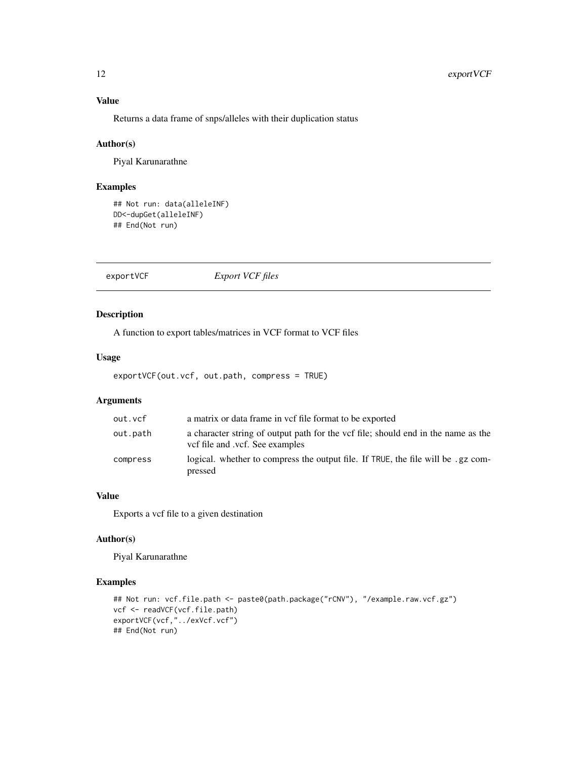# Value

Returns a data frame of snps/alleles with their duplication status

# Author(s)

Piyal Karunarathne

# Examples

## Not run: data(alleleINF) DD<-dupGet(alleleINF) ## End(Not run)

exportVCF *Export VCF files*

# Description

A function to export tables/matrices in VCF format to VCF files

#### Usage

exportVCF(out.vcf, out.path, compress = TRUE)

# Arguments

| out.vcf  | a matrix or data frame in yef file format to be exported                                                             |
|----------|----------------------------------------------------------------------------------------------------------------------|
| out.path | a character string of output path for the vcf file; should end in the name as the<br>vef file and .vef. See examples |
| compress | logical, whether to compress the output file. If TRUE, the file will be .gz com-<br>pressed                          |

# Value

Exports a vcf file to a given destination

# Author(s)

Piyal Karunarathne

```
## Not run: vcf.file.path <- paste0(path.package("rCNV"), "/example.raw.vcf.gz")
vcf <- readVCF(vcf.file.path)
exportVCF(vcf,"../exVcf.vcf")
## End(Not run)
```
<span id="page-11-0"></span>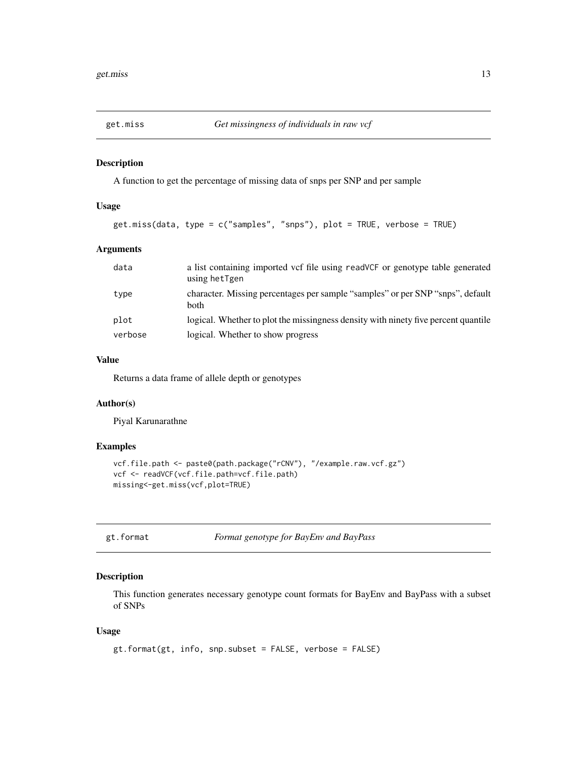<span id="page-12-0"></span>

A function to get the percentage of missing data of snps per SNP and per sample

# Usage

```
get.miss(data, type = c("samples", "snps"), plot = TRUE, verbose = TRUE)
```
# Arguments

| data    | a list containing imported vcf file using readVCF or genotype table generated<br>using hetTgen |
|---------|------------------------------------------------------------------------------------------------|
| type    | character. Missing percentages per sample "samples" or per SNP "snps", default<br><b>both</b>  |
| plot    | logical. Whether to plot the missingness density with ninety five percent quantile             |
| verbose | logical. Whether to show progress                                                              |

#### Value

Returns a data frame of allele depth or genotypes

# Author(s)

Piyal Karunarathne

# Examples

```
vcf.file.path <- paste0(path.package("rCNV"), "/example.raw.vcf.gz")
vcf <- readVCF(vcf.file.path=vcf.file.path)
missing<-get.miss(vcf,plot=TRUE)
```

|  |  |  | gt.format |
|--|--|--|-----------|
|--|--|--|-----------|

Format genotype for BayEnv and BayPass

#### Description

This function generates necessary genotype count formats for BayEnv and BayPass with a subset of SNPs

#### Usage

```
gt.format(gt, info, snp.subset = FALSE, verbose = FALSE)
```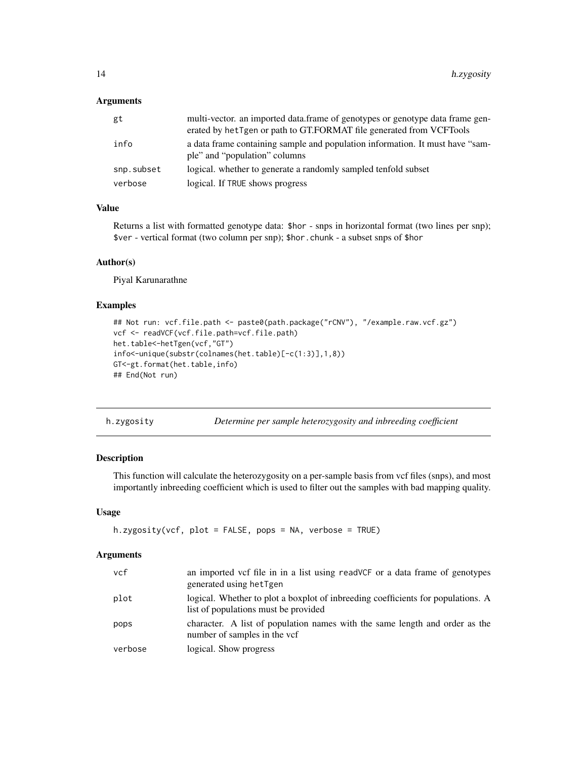#### <span id="page-13-0"></span>Arguments

| gt         | multi-vector, an imported data, frame of genotypes or genotype data frame gen-<br>erated by het Tgen or path to GT.FORMAT file generated from VCFTools |
|------------|--------------------------------------------------------------------------------------------------------------------------------------------------------|
| info       | a data frame containing sample and population information. It must have "sam-<br>ple" and "population" columns                                         |
| snp.subset | logical, whether to generate a randomly sampled tenfold subset                                                                                         |
| verbose    | logical. If TRUE shows progress                                                                                                                        |

# Value

Returns a list with formatted genotype data: \$hor - snps in horizontal format (two lines per snp); \$ver - vertical format (two column per snp); \$hor.chunk - a subset snps of \$hor

#### Author(s)

Piyal Karunarathne

# Examples

```
## Not run: vcf.file.path <- paste0(path.package("rCNV"), "/example.raw.vcf.gz")
vcf <- readVCF(vcf.file.path=vcf.file.path)
het.table<-hetTgen(vcf,"GT")
info<-unique(substr(colnames(het.table)[-c(1:3)],1,8))
GT<-gt.format(het.table,info)
## End(Not run)
```

| h.zygosity |  | Determine per sample heterozygosity and inbreeding coefficient |  |
|------------|--|----------------------------------------------------------------|--|
|            |  |                                                                |  |

# Description

This function will calculate the heterozygosity on a per-sample basis from vcf files (snps), and most importantly inbreeding coefficient which is used to filter out the samples with bad mapping quality.

# Usage

```
h.zygosity(vcf, plot = FALSE, pops = NA, verbose = TRUE)
```
# Arguments

| vcf     | an imported vcf file in in a list using readVCF or a data frame of genotypes                                             |
|---------|--------------------------------------------------------------------------------------------------------------------------|
|         | generated using hetTgen                                                                                                  |
| plot    | logical. Whether to plot a boxplot of inbreeding coefficients for populations. A<br>list of populations must be provided |
| pops    | character. A list of population names with the same length and order as the<br>number of samples in the vcf              |
| verbose | logical. Show progress                                                                                                   |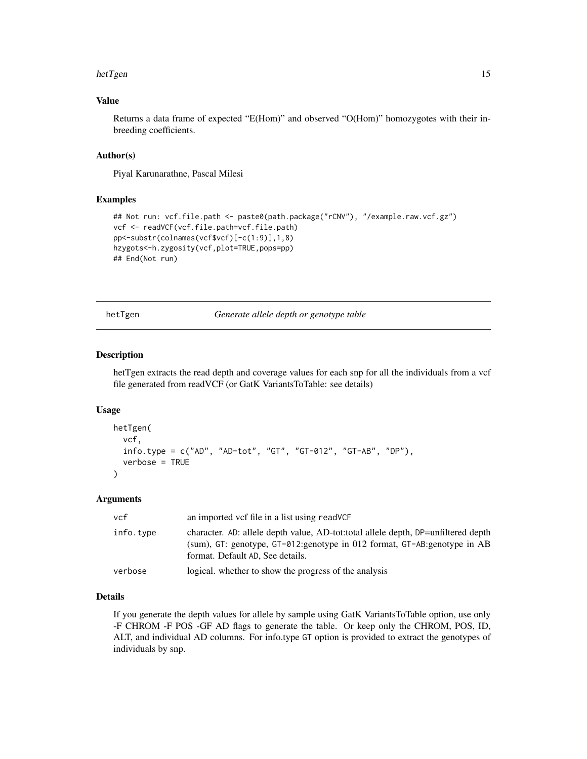#### <span id="page-14-0"></span>hetTgen 15

# Value

Returns a data frame of expected "E(Hom)" and observed "O(Hom)" homozygotes with their inbreeding coefficients.

#### Author(s)

Piyal Karunarathne, Pascal Milesi

#### Examples

```
## Not run: vcf.file.path <- paste0(path.package("rCNV"), "/example.raw.vcf.gz")
vcf <- readVCF(vcf.file.path=vcf.file.path)
pp<-substr(colnames(vcf$vcf)[-c(1:9)],1,8)
hzygots<-h.zygosity(vcf,plot=TRUE,pops=pp)
## End(Not run)
```
hetTgen *Generate allele depth or genotype table*

# Description

hetTgen extracts the read depth and coverage values for each snp for all the individuals from a vcf file generated from readVCF (or GatK VariantsToTable: see details)

# Usage

```
hetTgen(
  vcf,
  info.type = c("AD", "AD-tot", "GT", "GT-012", "GT-AB", "DP"),
  verbose = TRUE
\lambda
```
#### Arguments

| vcf       | an imported vcf file in a list using read VCF                                                                                                                                                      |
|-----------|----------------------------------------------------------------------------------------------------------------------------------------------------------------------------------------------------|
| info.type | character. AD: allele depth value, AD-tot: total allele depth, DP=unfiltered depth<br>(sum), GT: genotype, GT-012:genotype in 012 format, GT-AB:genotype in AB<br>format. Default AD, See details. |
| verbose   | logical, whether to show the progress of the analysis                                                                                                                                              |

# Details

If you generate the depth values for allele by sample using GatK VariantsToTable option, use only -F CHROM -F POS -GF AD flags to generate the table. Or keep only the CHROM, POS, ID, ALT, and individual AD columns. For info.type GT option is provided to extract the genotypes of individuals by snp.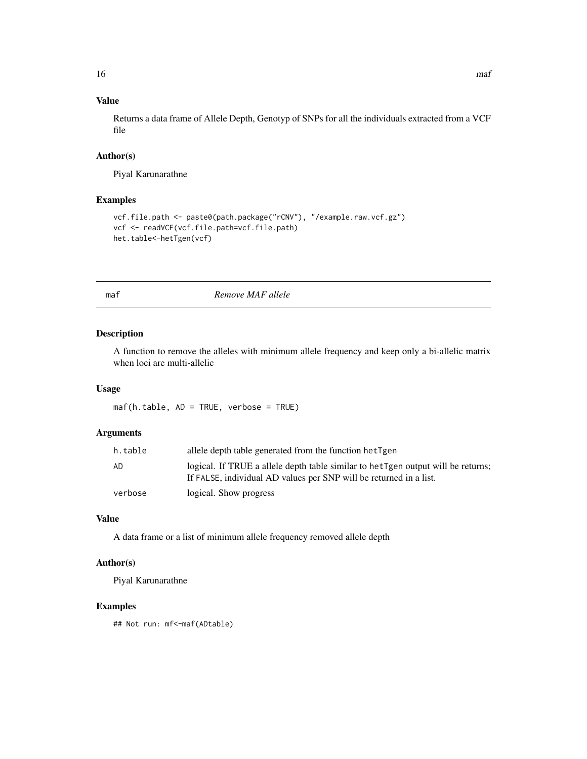# <span id="page-15-0"></span>Value

Returns a data frame of Allele Depth, Genotyp of SNPs for all the individuals extracted from a VCF file

# Author(s)

Piyal Karunarathne

# Examples

```
vcf.file.path <- paste0(path.package("rCNV"), "/example.raw.vcf.gz")
vcf <- readVCF(vcf.file.path=vcf.file.path)
het.table<-hetTgen(vcf)
```
maf *Remove MAF allele*

#### Description

A function to remove the alleles with minimum allele frequency and keep only a bi-allelic matrix when loci are multi-allelic

#### Usage

maf(h.table, AD = TRUE, verbose = TRUE)

# Arguments

| h.table | allele depth table generated from the function het Tgen                                                                                                 |
|---------|---------------------------------------------------------------------------------------------------------------------------------------------------------|
| AD      | logical. If TRUE a allele depth table similar to het Tgen output will be returns;<br>If FALSE, individual AD values per SNP will be returned in a list. |
| verbose | logical. Show progress                                                                                                                                  |

#### Value

A data frame or a list of minimum allele frequency removed allele depth

#### Author(s)

Piyal Karunarathne

# Examples

## Not run: mf<-maf(ADtable)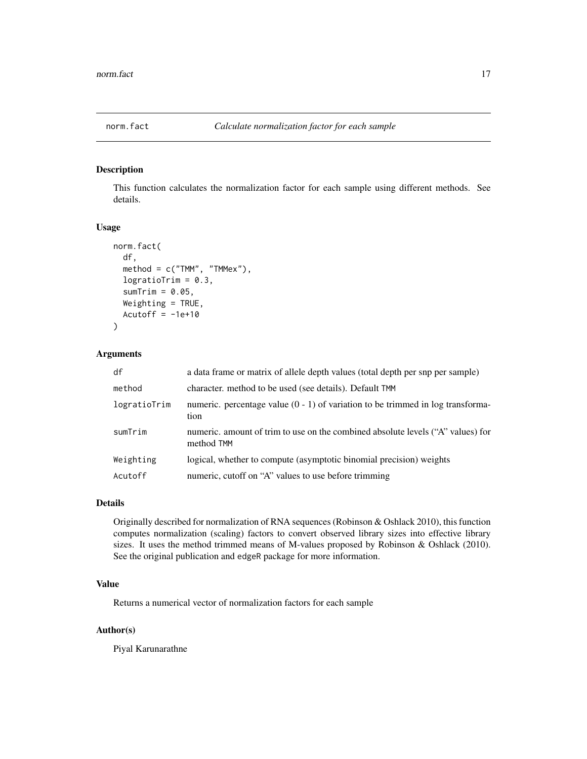<span id="page-16-0"></span>

This function calculates the normalization factor for each sample using different methods. See details.

#### Usage

```
norm.fact(
  df,
  method = c("TMM", "TMMex"),logratioTrim = 0.3,
  sumTime = 0.05,
  Weighting = TRUE,
  Acutoff = -1e+10)
```
# Arguments

| df           | a data frame or matrix of allele depth values (total depth per snp per sample)                |
|--------------|-----------------------------------------------------------------------------------------------|
| method       | character, method to be used (see details). Default TMM                                       |
| logratioTrim | numeric. percentage value $(0 - 1)$ of variation to be trimmed in log transforma-<br>tion     |
| sumTrim      | numeric. amount of trim to use on the combined absolute levels ("A" values) for<br>method TMM |
| Weighting    | logical, whether to compute (asymptotic binomial precision) weights                           |
| Acutoff      | numeric, cutoff on "A" values to use before trimming                                          |

#### Details

Originally described for normalization of RNA sequences (Robinson & Oshlack 2010), this function computes normalization (scaling) factors to convert observed library sizes into effective library sizes. It uses the method trimmed means of M-values proposed by Robinson & Oshlack (2010). See the original publication and edgeR package for more information.

# Value

Returns a numerical vector of normalization factors for each sample

#### Author(s)

Piyal Karunarathne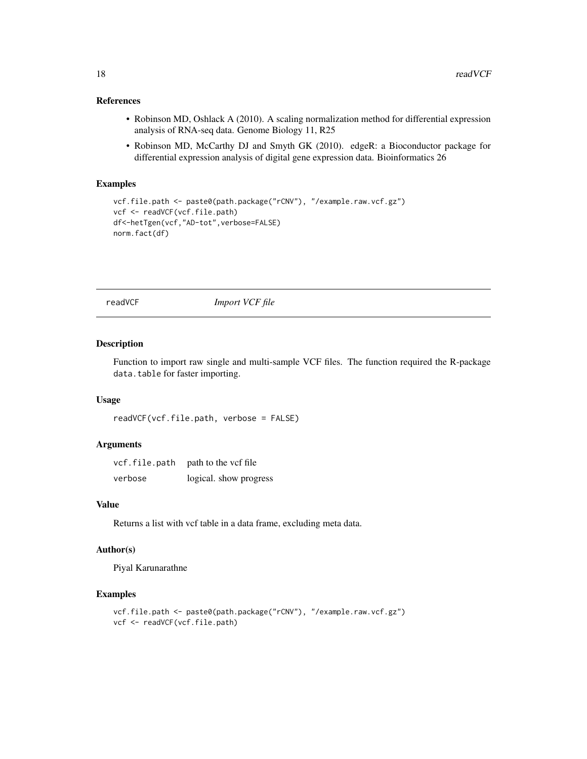# <span id="page-17-0"></span>References

- Robinson MD, Oshlack A (2010). A scaling normalization method for differential expression analysis of RNA-seq data. Genome Biology 11, R25
- Robinson MD, McCarthy DJ and Smyth GK (2010). edgeR: a Bioconductor package for differential expression analysis of digital gene expression data. Bioinformatics 26

#### Examples

```
vcf.file.path <- paste0(path.package("rCNV"), "/example.raw.vcf.gz")
vcf <- readVCF(vcf.file.path)
df<-hetTgen(vcf,"AD-tot",verbose=FALSE)
norm.fact(df)
```
readVCF *Import VCF file*

#### Description

Function to import raw single and multi-sample VCF files. The function required the R-package data.table for faster importing.

#### Usage

```
readVCF(vcf.file.path, verbose = FALSE)
```
#### Arguments

| vcf.file.path | path to the vcf file   |
|---------------|------------------------|
| verbose       | logical. show progress |

# Value

Returns a list with vcf table in a data frame, excluding meta data.

# Author(s)

Piyal Karunarathne

```
vcf.file.path <- paste0(path.package("rCNV"), "/example.raw.vcf.gz")
vcf <- readVCF(vcf.file.path)
```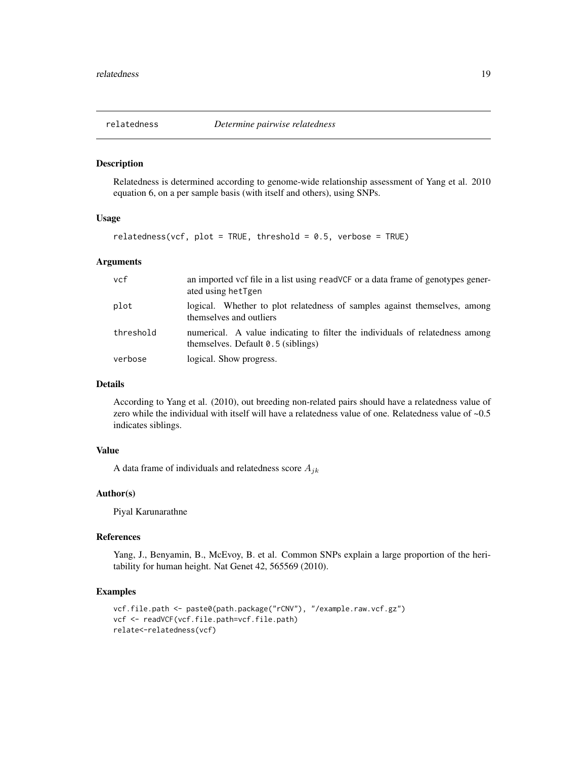<span id="page-18-0"></span>

Relatedness is determined according to genome-wide relationship assessment of Yang et al. 2010 equation 6, on a per sample basis (with itself and others), using SNPs.

#### Usage

 $relatedness(vcf, plot = TRUE, threshold = 0.5, verbose = TRUE)$ 

#### Arguments

| vcf       | an imported vcf file in a list using readVCF or a data frame of genotypes gener-<br>ated using hetTgen               |
|-----------|----------------------------------------------------------------------------------------------------------------------|
| plot      | logical. Whether to plot relatedness of samples against themselves, among<br>themselves and outliers                 |
| threshold | numerical. A value indicating to filter the individuals of relatedness among<br>themselves. Default $0.5$ (siblings) |
| verbose   | logical. Show progress.                                                                                              |

# Details

According to Yang et al. (2010), out breeding non-related pairs should have a relatedness value of zero while the individual with itself will have a relatedness value of one. Relatedness value of  $\sim 0.5$ indicates siblings.

#### Value

A data frame of individuals and relatedness score  $A_{jk}$ 

#### Author(s)

Piyal Karunarathne

### References

Yang, J., Benyamin, B., McEvoy, B. et al. Common SNPs explain a large proportion of the heritability for human height. Nat Genet 42, 565569 (2010).

```
vcf.file.path <- paste0(path.package("rCNV"), "/example.raw.vcf.gz")
vcf <- readVCF(vcf.file.path=vcf.file.path)
relate<-relatedness(vcf)
```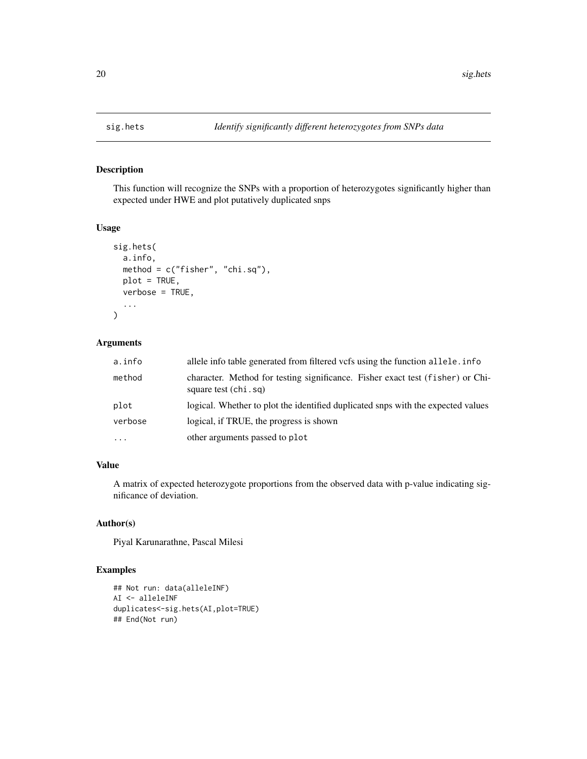<span id="page-19-0"></span>

This function will recognize the SNPs with a proportion of heterozygotes significantly higher than expected under HWE and plot putatively duplicated snps

# Usage

```
sig.hets(
  a.info,
 method = c("fisher", "chi.sq"),
 plot = TRUE,
 verbose = TRUE,
  ...
)
```
# Arguments

| a.info              | allele info table generated from filtered vcfs using the function allele. info                         |
|---------------------|--------------------------------------------------------------------------------------------------------|
| method              | character. Method for testing significance. Fisher exact test (fisher) or Chi-<br>square test (chi.sq) |
| plot                | logical. Whether to plot the identified duplicated snps with the expected values                       |
| verbose             | logical, if TRUE, the progress is shown                                                                |
| $\cdot \cdot \cdot$ | other arguments passed to plot                                                                         |

# Value

A matrix of expected heterozygote proportions from the observed data with p-value indicating significance of deviation.

# Author(s)

Piyal Karunarathne, Pascal Milesi

```
## Not run: data(alleleINF)
AI <- alleleINF
duplicates<-sig.hets(AI,plot=TRUE)
## End(Not run)
```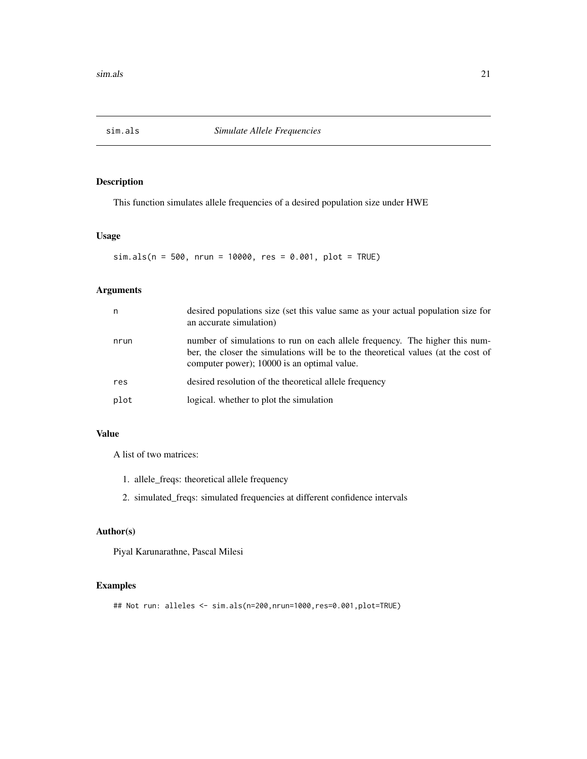<span id="page-20-0"></span>

This function simulates allele frequencies of a desired population size under HWE

# Usage

sim.als(n = 500, nrun = 10000, res = 0.001, plot = TRUE)

# Arguments

| n    | desired populations size (set this value same as your actual population size for<br>an accurate simulation)                                                                                                     |
|------|-----------------------------------------------------------------------------------------------------------------------------------------------------------------------------------------------------------------|
| nrun | number of simulations to run on each allele frequency. The higher this num-<br>ber, the closer the simulations will be to the theoretical values (at the cost of<br>computer power); 10000 is an optimal value. |
| res  | desired resolution of the theoretical allele frequency                                                                                                                                                          |
| plot | logical. whether to plot the simulation                                                                                                                                                                         |

# Value

A list of two matrices:

- 1. allele\_freqs: theoretical allele frequency
- 2. simulated\_freqs: simulated frequencies at different confidence intervals

#### Author(s)

Piyal Karunarathne, Pascal Milesi

```
## Not run: alleles <- sim.als(n=200,nrun=1000,res=0.001,plot=TRUE)
```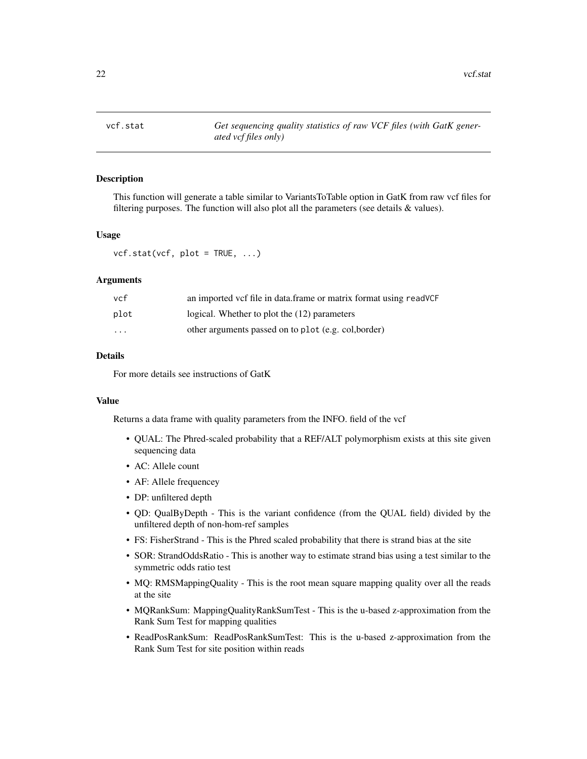<span id="page-21-0"></span>

This function will generate a table similar to VariantsToTable option in GatK from raw vcf files for filtering purposes. The function will also plot all the parameters (see details & values).

#### Usage

 $vcf.stat(vcf, plot = TRUE, ...)$ 

#### Arguments

| vcf      | an imported vcf file in data frame or matrix format using readVCF |
|----------|-------------------------------------------------------------------|
| plot     | logical. Whether to plot the (12) parameters                      |
| $\cdots$ | other arguments passed on to plot (e.g. col, border)              |

#### Details

For more details see instructions of GatK

# Value

Returns a data frame with quality parameters from the INFO. field of the vcf

- QUAL: The Phred-scaled probability that a REF/ALT polymorphism exists at this site given sequencing data
- AC: Allele count
- AF: Allele frequencey
- DP: unfiltered depth
- QD: QualByDepth This is the variant confidence (from the QUAL field) divided by the unfiltered depth of non-hom-ref samples
- FS: FisherStrand This is the Phred scaled probability that there is strand bias at the site
- SOR: StrandOddsRatio This is another way to estimate strand bias using a test similar to the symmetric odds ratio test
- MQ: RMSMappingQuality This is the root mean square mapping quality over all the reads at the site
- MQRankSum: MappingQualityRankSumTest This is the u-based z-approximation from the Rank Sum Test for mapping qualities
- ReadPosRankSum: ReadPosRankSumTest: This is the u-based z-approximation from the Rank Sum Test for site position within reads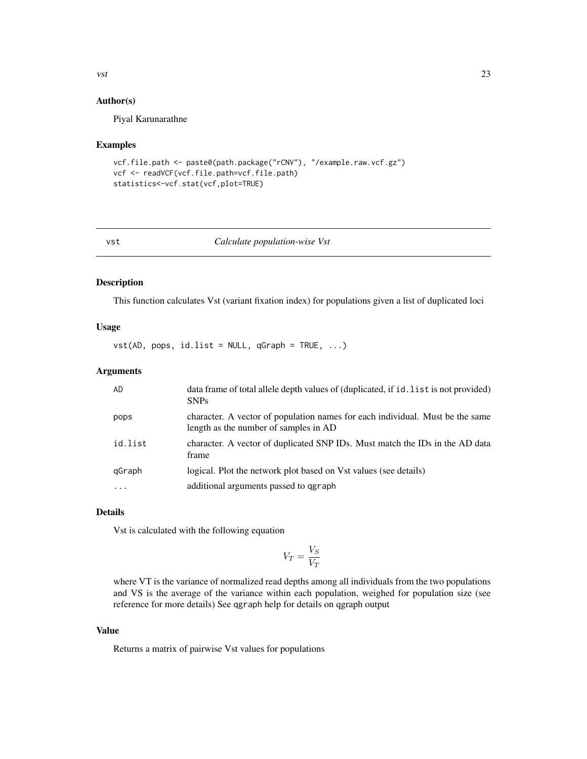#### Author(s)

Piyal Karunarathne

#### Examples

```
vcf.file.path <- paste0(path.package("rCNV"), "/example.raw.vcf.gz")
vcf <- readVCF(vcf.file.path=vcf.file.path)
statistics<-vcf.stat(vcf,plot=TRUE)
```
#### vst *Calculate population-wise Vst*

#### Description

This function calculates Vst (variant fixation index) for populations given a list of duplicated loci

# Usage

 $vst(AD, pops, id.list = NULL, qGraph = TRUE, ...)$ 

#### Arguments

| AD      | data frame of total allele depth values of (duplicated, if id. list is not provided)<br><b>SNPs</b>                    |
|---------|------------------------------------------------------------------------------------------------------------------------|
| pops    | character. A vector of population names for each individual. Must be the same<br>length as the number of samples in AD |
| id.list | character. A vector of duplicated SNP IDs. Must match the IDs in the AD data<br>frame                                  |
| qGraph  | logical. Plot the network plot based on Vst values (see details)                                                       |
| .       | additional arguments passed to garaph                                                                                  |

# Details

Vst is calculated with the following equation

$$
V_T = \frac{V_S}{V_T}
$$

where VT is the variance of normalized read depths among all individuals from the two populations and VS is the average of the variance within each population, weighed for population size (see reference for more details) See qgraph help for details on qgraph output

#### Value

Returns a matrix of pairwise Vst values for populations

<span id="page-22-0"></span> $\frac{1}{2}$  vst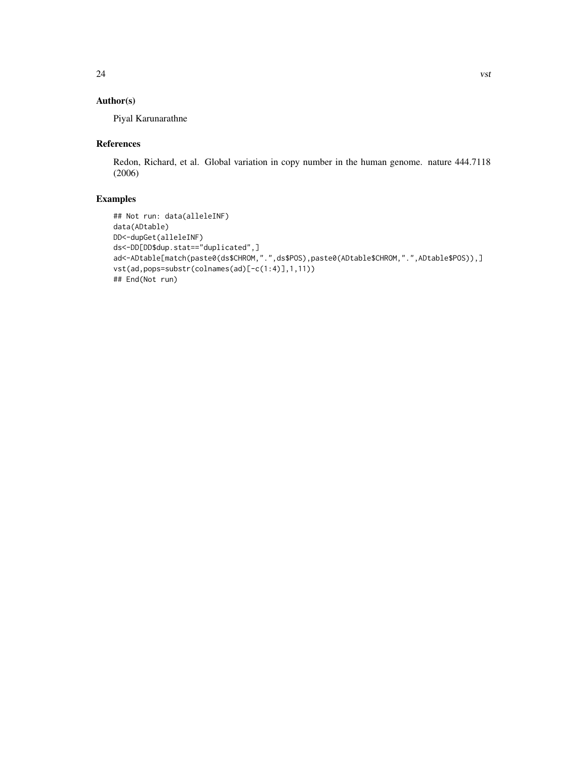# Author(s)

Piyal Karunarathne

# References

Redon, Richard, et al. Global variation in copy number in the human genome. nature 444.7118 (2006)

```
## Not run: data(alleleINF)
data(ADtable)
DD<-dupGet(alleleINF)
ds<-DD[DD$dup.stat=="duplicated",]
ad<-ADtable[match(paste0(ds$CHROM,".",ds$POS),paste0(ADtable$CHROM,".",ADtable$POS)),]
vst(ad,pops=substr(colnames(ad)[-c(1:4)],1,11))
## End(Not run)
```